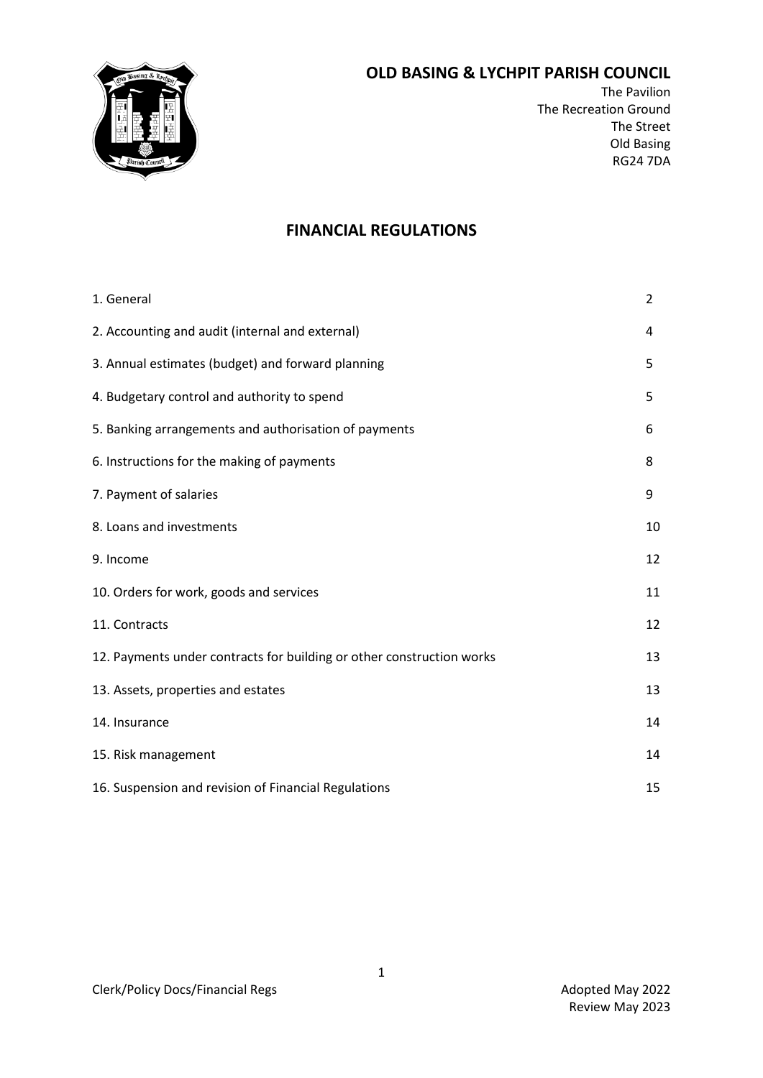

# **OLD BASING & LYCHPIT PARISH COUNCIL**

The Pavilion The Recreation Ground The Street Old Basing RG24 7DA

# **FINANCIAL REGULATIONS**

| 1. General                                                            | 2  |
|-----------------------------------------------------------------------|----|
| 2. Accounting and audit (internal and external)                       | 4  |
| 3. Annual estimates (budget) and forward planning                     | 5  |
| 4. Budgetary control and authority to spend                           | 5  |
| 5. Banking arrangements and authorisation of payments                 | 6  |
| 6. Instructions for the making of payments                            | 8  |
| 7. Payment of salaries                                                | 9  |
| 8. Loans and investments                                              | 10 |
| 9. Income                                                             | 12 |
| 10. Orders for work, goods and services                               | 11 |
| 11. Contracts                                                         | 12 |
| 12. Payments under contracts for building or other construction works | 13 |
| 13. Assets, properties and estates                                    | 13 |
| 14. Insurance                                                         | 14 |
| 15. Risk management                                                   | 14 |
| 16. Suspension and revision of Financial Regulations                  | 15 |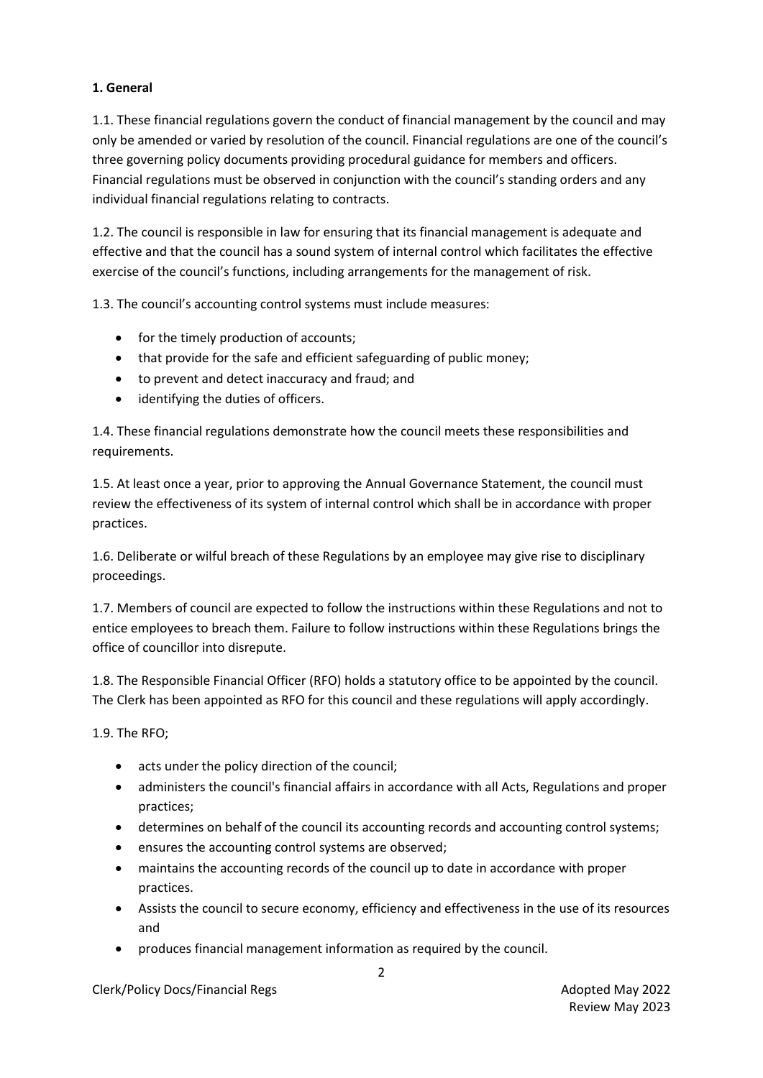# **1. General**

1.1. These financial regulations govern the conduct of financial management by the council and may only be amended or varied by resolution of the council. Financial regulations are one of the council's three governing policy documents providing procedural guidance for members and officers. Financial regulations must be observed in conjunction with the council's standing orders and any individual financial regulations relating to contracts.

1.2. The council is responsible in law for ensuring that its financial management is adequate and effective and that the council has a sound system of internal control which facilitates the effective exercise of the council's functions, including arrangements for the management of risk.

1.3. The council's accounting control systems must include measures:

- for the timely production of accounts;
- that provide for the safe and efficient safeguarding of public money;
- to prevent and detect inaccuracy and fraud; and
- identifying the duties of officers.

1.4. These financial regulations demonstrate how the council meets these responsibilities and requirements.

1.5. At least once a year, prior to approving the Annual Governance Statement, the council must review the effectiveness of its system of internal control which shall be in accordance with proper practices.

1.6. Deliberate or wilful breach of these Regulations by an employee may give rise to disciplinary proceedings.

1.7. Members of council are expected to follow the instructions within these Regulations and not to entice employees to breach them. Failure to follow instructions within these Regulations brings the office of councillor into disrepute.

1.8. The Responsible Financial Officer (RFO) holds a statutory office to be appointed by the council. The Clerk has been appointed as RFO for this council and these regulations will apply accordingly.

1.9. The RFO;

- acts under the policy direction of the council;
- administers the council's financial affairs in accordance with all Acts, Regulations and proper practices;
- determines on behalf of the council its accounting records and accounting control systems;
- ensures the accounting control systems are observed;
- maintains the accounting records of the council up to date in accordance with proper practices.
- Assists the council to secure economy, efficiency and effectiveness in the use of its resources and
- produces financial management information as required by the council.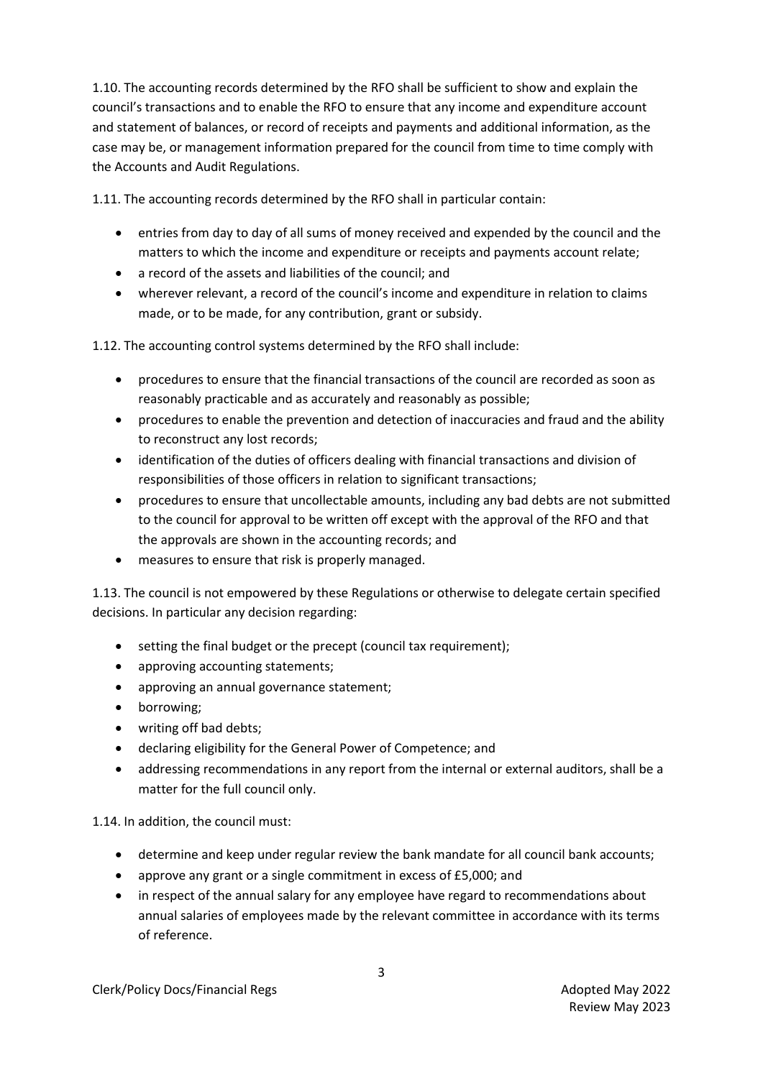1.10. The accounting records determined by the RFO shall be sufficient to show and explain the council's transactions and to enable the RFO to ensure that any income and expenditure account and statement of balances, or record of receipts and payments and additional information, as the case may be, or management information prepared for the council from time to time comply with the Accounts and Audit Regulations.

1.11. The accounting records determined by the RFO shall in particular contain:

- entries from day to day of all sums of money received and expended by the council and the matters to which the income and expenditure or receipts and payments account relate;
- a record of the assets and liabilities of the council; and
- wherever relevant, a record of the council's income and expenditure in relation to claims made, or to be made, for any contribution, grant or subsidy.

1.12. The accounting control systems determined by the RFO shall include:

- procedures to ensure that the financial transactions of the council are recorded as soon as reasonably practicable and as accurately and reasonably as possible;
- procedures to enable the prevention and detection of inaccuracies and fraud and the ability to reconstruct any lost records;
- identification of the duties of officers dealing with financial transactions and division of responsibilities of those officers in relation to significant transactions;
- procedures to ensure that uncollectable amounts, including any bad debts are not submitted to the council for approval to be written off except with the approval of the RFO and that the approvals are shown in the accounting records; and
- measures to ensure that risk is properly managed.

1.13. The council is not empowered by these Regulations or otherwise to delegate certain specified decisions. In particular any decision regarding:

- setting the final budget or the precept (council tax requirement);
- approving accounting statements;
- approving an annual governance statement;
- borrowing;
- writing off bad debts;
- declaring eligibility for the General Power of Competence; and
- addressing recommendations in any report from the internal or external auditors, shall be a matter for the full council only.

1.14. In addition, the council must:

- determine and keep under regular review the bank mandate for all council bank accounts;
- approve any grant or a single commitment in excess of £5,000; and
- in respect of the annual salary for any employee have regard to recommendations about annual salaries of employees made by the relevant committee in accordance with its terms of reference.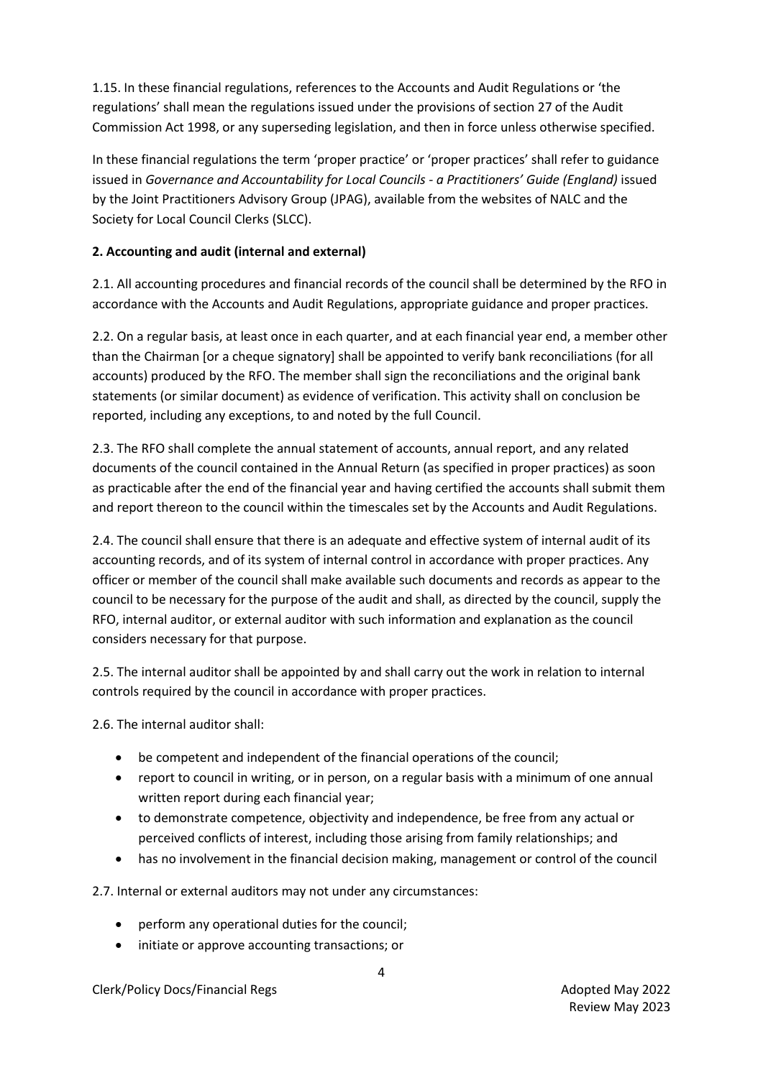1.15. In these financial regulations, references to the Accounts and Audit Regulations or 'the regulations' shall mean the regulations issued under the provisions of section 27 of the Audit Commission Act 1998, or any superseding legislation, and then in force unless otherwise specified.

In these financial regulations the term 'proper practice' or 'proper practices' shall refer to guidance issued in *Governance and Accountability for Local Councils - a Practitioners' Guide (England)* issued by the Joint Practitioners Advisory Group (JPAG), available from the websites of NALC and the Society for Local Council Clerks (SLCC).

# **2. Accounting and audit (internal and external)**

2.1. All accounting procedures and financial records of the council shall be determined by the RFO in accordance with the Accounts and Audit Regulations, appropriate guidance and proper practices.

2.2. On a regular basis, at least once in each quarter, and at each financial year end, a member other than the Chairman [or a cheque signatory] shall be appointed to verify bank reconciliations (for all accounts) produced by the RFO. The member shall sign the reconciliations and the original bank statements (or similar document) as evidence of verification. This activity shall on conclusion be reported, including any exceptions, to and noted by the full Council.

2.3. The RFO shall complete the annual statement of accounts, annual report, and any related documents of the council contained in the Annual Return (as specified in proper practices) as soon as practicable after the end of the financial year and having certified the accounts shall submit them and report thereon to the council within the timescales set by the Accounts and Audit Regulations.

2.4. The council shall ensure that there is an adequate and effective system of internal audit of its accounting records, and of its system of internal control in accordance with proper practices. Any officer or member of the council shall make available such documents and records as appear to the council to be necessary for the purpose of the audit and shall, as directed by the council, supply the RFO, internal auditor, or external auditor with such information and explanation as the council considers necessary for that purpose.

2.5. The internal auditor shall be appointed by and shall carry out the work in relation to internal controls required by the council in accordance with proper practices.

2.6. The internal auditor shall:

- be competent and independent of the financial operations of the council;
- report to council in writing, or in person, on a regular basis with a minimum of one annual written report during each financial year;
- to demonstrate competence, objectivity and independence, be free from any actual or perceived conflicts of interest, including those arising from family relationships; and
- has no involvement in the financial decision making, management or control of the council

2.7. Internal or external auditors may not under any circumstances:

- perform any operational duties for the council;
- initiate or approve accounting transactions; or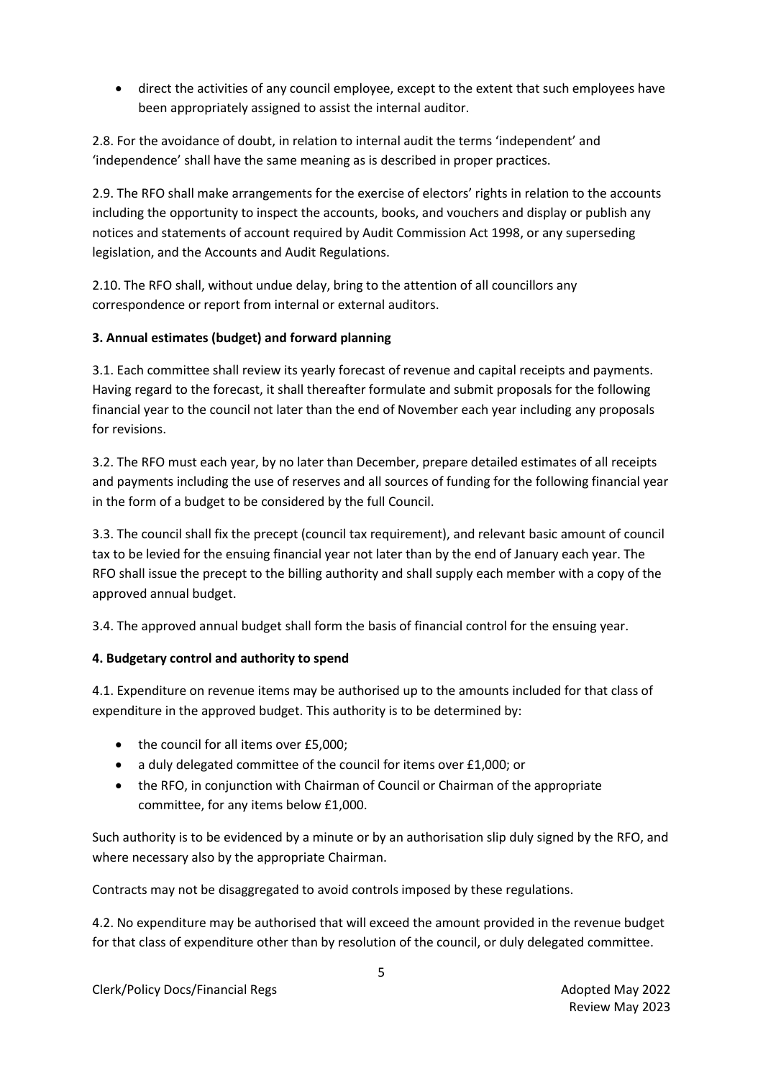• direct the activities of any council employee, except to the extent that such employees have been appropriately assigned to assist the internal auditor.

2.8. For the avoidance of doubt, in relation to internal audit the terms 'independent' and 'independence' shall have the same meaning as is described in proper practices.

2.9. The RFO shall make arrangements for the exercise of electors' rights in relation to the accounts including the opportunity to inspect the accounts, books, and vouchers and display or publish any notices and statements of account required by Audit Commission Act 1998, or any superseding legislation, and the Accounts and Audit Regulations.

2.10. The RFO shall, without undue delay, bring to the attention of all councillors any correspondence or report from internal or external auditors.

# **3. Annual estimates (budget) and forward planning**

3.1. Each committee shall review its yearly forecast of revenue and capital receipts and payments. Having regard to the forecast, it shall thereafter formulate and submit proposals for the following financial year to the council not later than the end of November each year including any proposals for revisions.

3.2. The RFO must each year, by no later than December, prepare detailed estimates of all receipts and payments including the use of reserves and all sources of funding for the following financial year in the form of a budget to be considered by the full Council.

3.3. The council shall fix the precept (council tax requirement), and relevant basic amount of council tax to be levied for the ensuing financial year not later than by the end of January each year. The RFO shall issue the precept to the billing authority and shall supply each member with a copy of the approved annual budget.

3.4. The approved annual budget shall form the basis of financial control for the ensuing year.

# **4. Budgetary control and authority to spend**

4.1. Expenditure on revenue items may be authorised up to the amounts included for that class of expenditure in the approved budget. This authority is to be determined by:

- the council for all items over £5,000;
- a duly delegated committee of the council for items over £1,000; or
- the RFO, in conjunction with Chairman of Council or Chairman of the appropriate committee, for any items below £1,000.

Such authority is to be evidenced by a minute or by an authorisation slip duly signed by the RFO, and where necessary also by the appropriate Chairman.

Contracts may not be disaggregated to avoid controls imposed by these regulations.

4.2. No expenditure may be authorised that will exceed the amount provided in the revenue budget for that class of expenditure other than by resolution of the council, or duly delegated committee.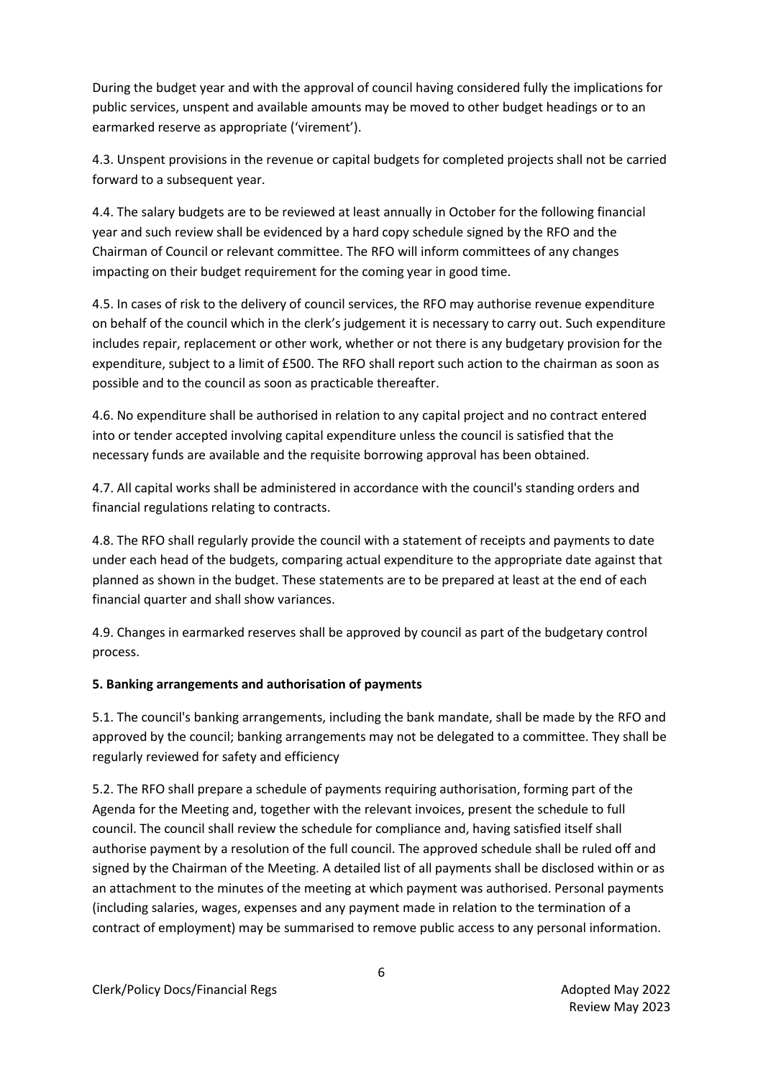During the budget year and with the approval of council having considered fully the implications for public services, unspent and available amounts may be moved to other budget headings or to an earmarked reserve as appropriate ('virement').

4.3. Unspent provisions in the revenue or capital budgets for completed projects shall not be carried forward to a subsequent year.

4.4. The salary budgets are to be reviewed at least annually in October for the following financial year and such review shall be evidenced by a hard copy schedule signed by the RFO and the Chairman of Council or relevant committee. The RFO will inform committees of any changes impacting on their budget requirement for the coming year in good time.

4.5. In cases of risk to the delivery of council services, the RFO may authorise revenue expenditure on behalf of the council which in the clerk's judgement it is necessary to carry out. Such expenditure includes repair, replacement or other work, whether or not there is any budgetary provision for the expenditure, subject to a limit of £500. The RFO shall report such action to the chairman as soon as possible and to the council as soon as practicable thereafter.

4.6. No expenditure shall be authorised in relation to any capital project and no contract entered into or tender accepted involving capital expenditure unless the council is satisfied that the necessary funds are available and the requisite borrowing approval has been obtained.

4.7. All capital works shall be administered in accordance with the council's standing orders and financial regulations relating to contracts.

4.8. The RFO shall regularly provide the council with a statement of receipts and payments to date under each head of the budgets, comparing actual expenditure to the appropriate date against that planned as shown in the budget. These statements are to be prepared at least at the end of each financial quarter and shall show variances.

4.9. Changes in earmarked reserves shall be approved by council as part of the budgetary control process.

### **5. Banking arrangements and authorisation of payments**

5.1. The council's banking arrangements, including the bank mandate, shall be made by the RFO and approved by the council; banking arrangements may not be delegated to a committee. They shall be regularly reviewed for safety and efficiency

5.2. The RFO shall prepare a schedule of payments requiring authorisation, forming part of the Agenda for the Meeting and, together with the relevant invoices, present the schedule to full council. The council shall review the schedule for compliance and, having satisfied itself shall authorise payment by a resolution of the full council. The approved schedule shall be ruled off and signed by the Chairman of the Meeting. A detailed list of all payments shall be disclosed within or as an attachment to the minutes of the meeting at which payment was authorised. Personal payments (including salaries, wages, expenses and any payment made in relation to the termination of a contract of employment) may be summarised to remove public access to any personal information.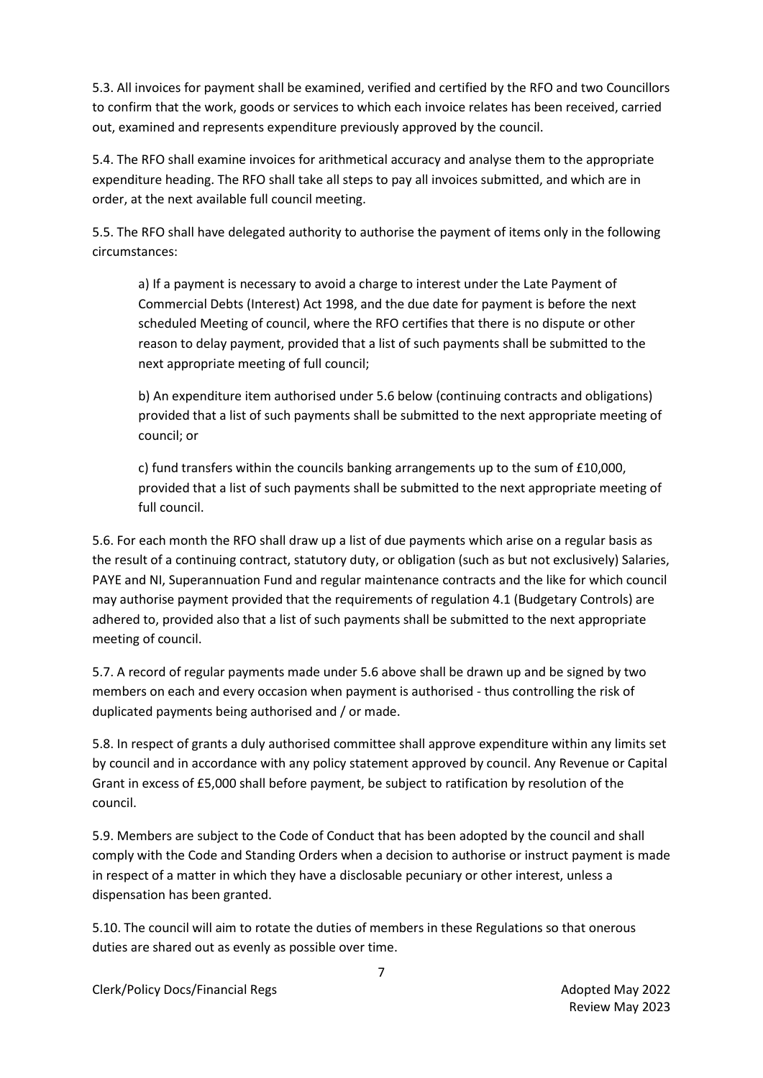5.3. All invoices for payment shall be examined, verified and certified by the RFO and two Councillors to confirm that the work, goods or services to which each invoice relates has been received, carried out, examined and represents expenditure previously approved by the council.

5.4. The RFO shall examine invoices for arithmetical accuracy and analyse them to the appropriate expenditure heading. The RFO shall take all steps to pay all invoices submitted, and which are in order, at the next available full council meeting.

5.5. The RFO shall have delegated authority to authorise the payment of items only in the following circumstances:

a) If a payment is necessary to avoid a charge to interest under the Late Payment of Commercial Debts (Interest) Act 1998, and the due date for payment is before the next scheduled Meeting of council, where the RFO certifies that there is no dispute or other reason to delay payment, provided that a list of such payments shall be submitted to the next appropriate meeting of full council;

b) An expenditure item authorised under 5.6 below (continuing contracts and obligations) provided that a list of such payments shall be submitted to the next appropriate meeting of council; or

c) fund transfers within the councils banking arrangements up to the sum of £10,000, provided that a list of such payments shall be submitted to the next appropriate meeting of full council.

5.6. For each month the RFO shall draw up a list of due payments which arise on a regular basis as the result of a continuing contract, statutory duty, or obligation (such as but not exclusively) Salaries, PAYE and NI, Superannuation Fund and regular maintenance contracts and the like for which council may authorise payment provided that the requirements of regulation 4.1 (Budgetary Controls) are adhered to, provided also that a list of such payments shall be submitted to the next appropriate meeting of council.

5.7. A record of regular payments made under 5.6 above shall be drawn up and be signed by two members on each and every occasion when payment is authorised - thus controlling the risk of duplicated payments being authorised and / or made.

5.8. In respect of grants a duly authorised committee shall approve expenditure within any limits set by council and in accordance with any policy statement approved by council. Any Revenue or Capital Grant in excess of £5,000 shall before payment, be subject to ratification by resolution of the council.

5.9. Members are subject to the Code of Conduct that has been adopted by the council and shall comply with the Code and Standing Orders when a decision to authorise or instruct payment is made in respect of a matter in which they have a disclosable pecuniary or other interest, unless a dispensation has been granted.

5.10. The council will aim to rotate the duties of members in these Regulations so that onerous duties are shared out as evenly as possible over time.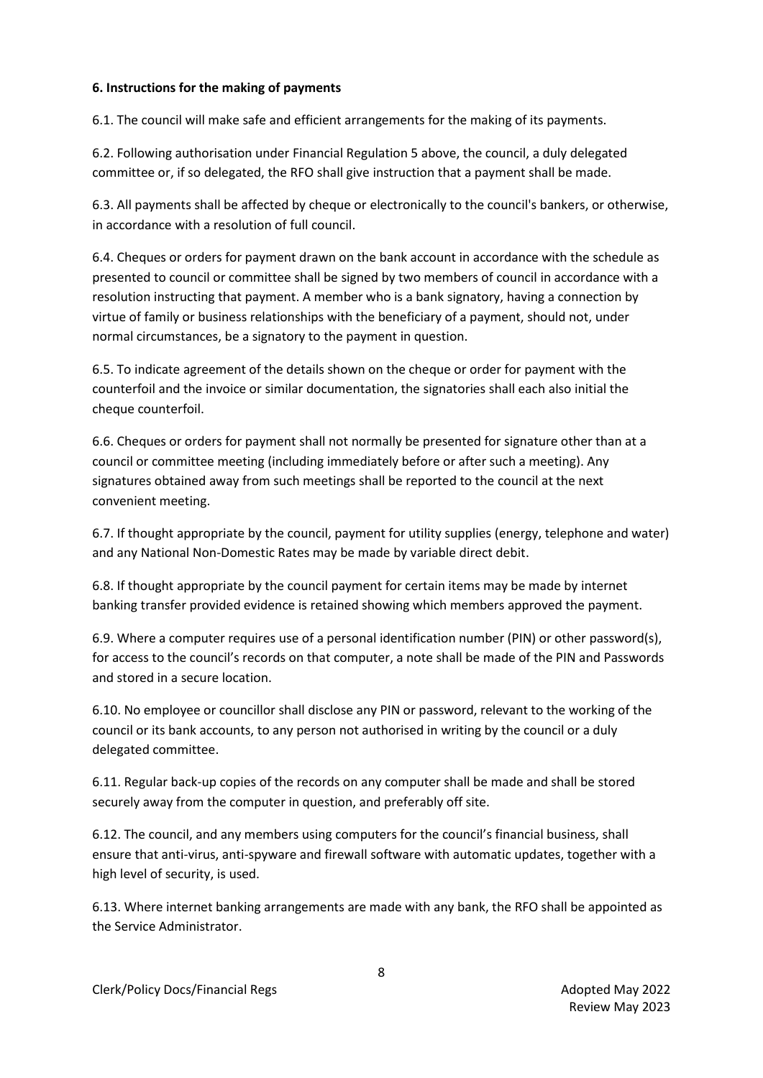### **6. Instructions for the making of payments**

6.1. The council will make safe and efficient arrangements for the making of its payments.

6.2. Following authorisation under Financial Regulation 5 above, the council, a duly delegated committee or, if so delegated, the RFO shall give instruction that a payment shall be made.

6.3. All payments shall be affected by cheque or electronically to the council's bankers, or otherwise, in accordance with a resolution of full council.

6.4. Cheques or orders for payment drawn on the bank account in accordance with the schedule as presented to council or committee shall be signed by two members of council in accordance with a resolution instructing that payment. A member who is a bank signatory, having a connection by virtue of family or business relationships with the beneficiary of a payment, should not, under normal circumstances, be a signatory to the payment in question.

6.5. To indicate agreement of the details shown on the cheque or order for payment with the counterfoil and the invoice or similar documentation, the signatories shall each also initial the cheque counterfoil.

6.6. Cheques or orders for payment shall not normally be presented for signature other than at a council or committee meeting (including immediately before or after such a meeting). Any signatures obtained away from such meetings shall be reported to the council at the next convenient meeting.

6.7. If thought appropriate by the council, payment for utility supplies (energy, telephone and water) and any National Non-Domestic Rates may be made by variable direct debit.

6.8. If thought appropriate by the council payment for certain items may be made by internet banking transfer provided evidence is retained showing which members approved the payment.

6.9. Where a computer requires use of a personal identification number (PIN) or other password(s), for access to the council's records on that computer, a note shall be made of the PIN and Passwords and stored in a secure location.

6.10. No employee or councillor shall disclose any PIN or password, relevant to the working of the council or its bank accounts, to any person not authorised in writing by the council or a duly delegated committee.

6.11. Regular back-up copies of the records on any computer shall be made and shall be stored securely away from the computer in question, and preferably off site.

6.12. The council, and any members using computers for the council's financial business, shall ensure that anti-virus, anti-spyware and firewall software with automatic updates, together with a high level of security, is used.

6.13. Where internet banking arrangements are made with any bank, the RFO shall be appointed as the Service Administrator.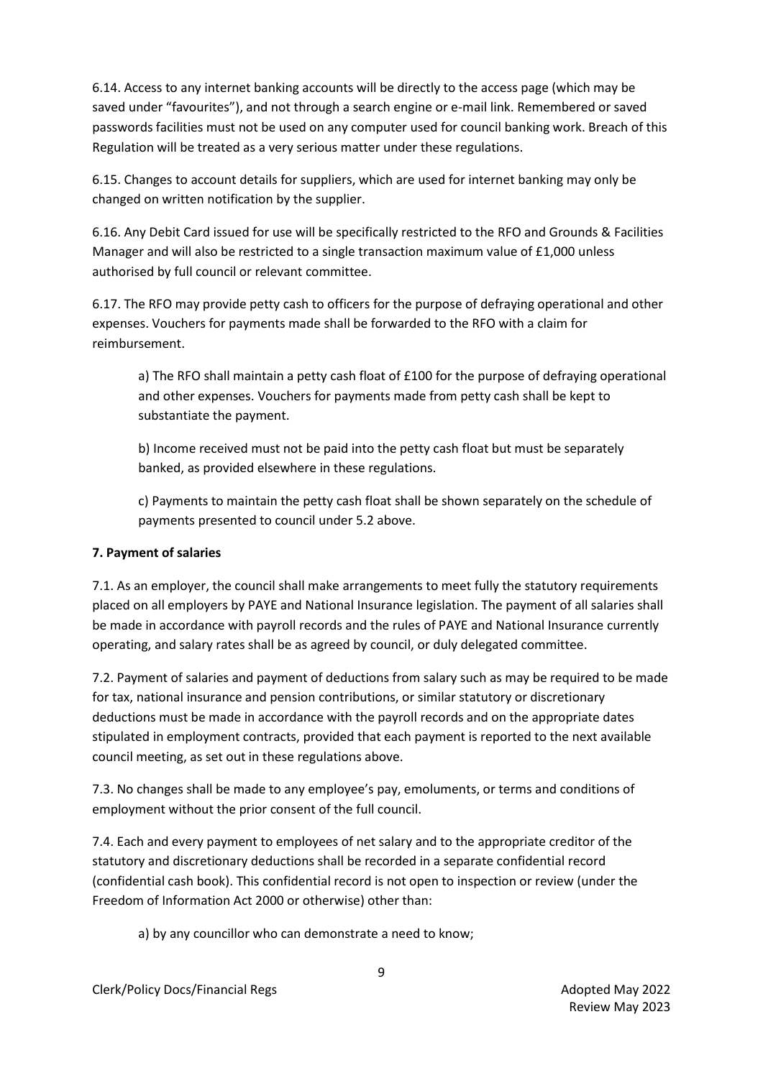6.14. Access to any internet banking accounts will be directly to the access page (which may be saved under "favourites"), and not through a search engine or e-mail link. Remembered or saved passwords facilities must not be used on any computer used for council banking work. Breach of this Regulation will be treated as a very serious matter under these regulations.

6.15. Changes to account details for suppliers, which are used for internet banking may only be changed on written notification by the supplier.

6.16. Any Debit Card issued for use will be specifically restricted to the RFO and Grounds & Facilities Manager and will also be restricted to a single transaction maximum value of £1,000 unless authorised by full council or relevant committee.

6.17. The RFO may provide petty cash to officers for the purpose of defraying operational and other expenses. Vouchers for payments made shall be forwarded to the RFO with a claim for reimbursement.

a) The RFO shall maintain a petty cash float of £100 for the purpose of defraying operational and other expenses. Vouchers for payments made from petty cash shall be kept to substantiate the payment.

b) Income received must not be paid into the petty cash float but must be separately banked, as provided elsewhere in these regulations.

c) Payments to maintain the petty cash float shall be shown separately on the schedule of payments presented to council under 5.2 above.

# **7. Payment of salaries**

7.1. As an employer, the council shall make arrangements to meet fully the statutory requirements placed on all employers by PAYE and National Insurance legislation. The payment of all salaries shall be made in accordance with payroll records and the rules of PAYE and National Insurance currently operating, and salary rates shall be as agreed by council, or duly delegated committee.

7.2. Payment of salaries and payment of deductions from salary such as may be required to be made for tax, national insurance and pension contributions, or similar statutory or discretionary deductions must be made in accordance with the payroll records and on the appropriate dates stipulated in employment contracts, provided that each payment is reported to the next available council meeting, as set out in these regulations above.

7.3. No changes shall be made to any employee's pay, emoluments, or terms and conditions of employment without the prior consent of the full council.

7.4. Each and every payment to employees of net salary and to the appropriate creditor of the statutory and discretionary deductions shall be recorded in a separate confidential record (confidential cash book). This confidential record is not open to inspection or review (under the Freedom of Information Act 2000 or otherwise) other than:

a) by any councillor who can demonstrate a need to know;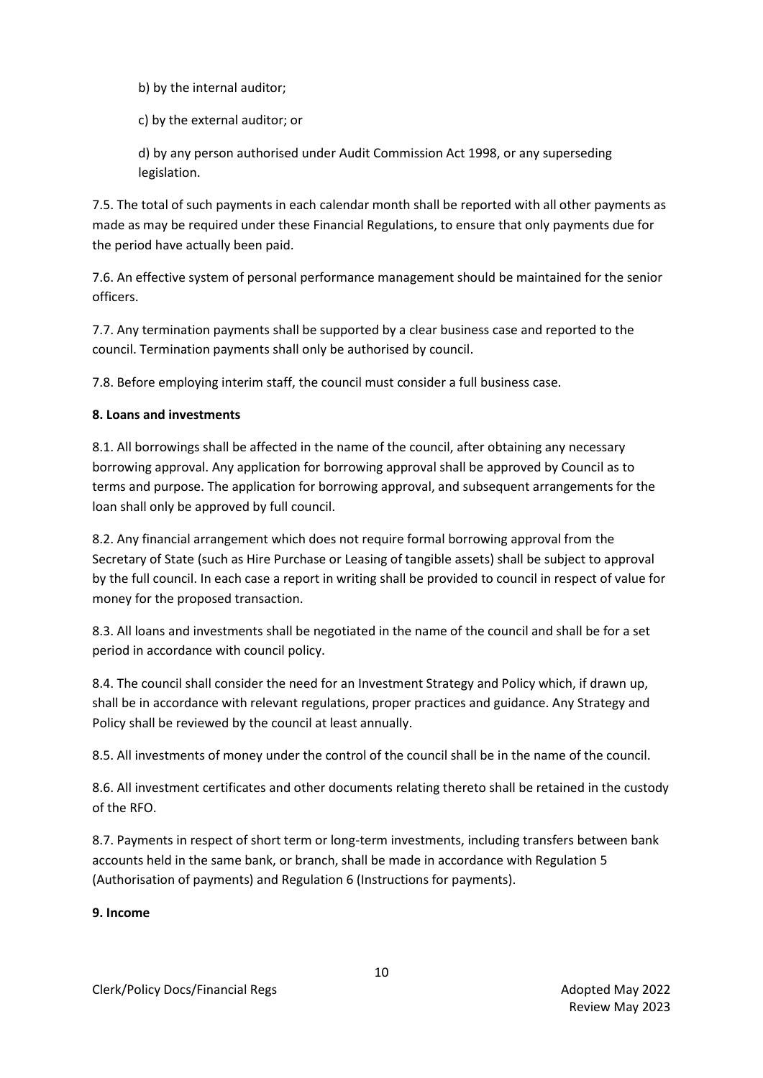b) by the internal auditor;

c) by the external auditor; or

d) by any person authorised under Audit Commission Act 1998, or any superseding legislation.

7.5. The total of such payments in each calendar month shall be reported with all other payments as made as may be required under these Financial Regulations, to ensure that only payments due for the period have actually been paid.

7.6. An effective system of personal performance management should be maintained for the senior officers.

7.7. Any termination payments shall be supported by a clear business case and reported to the council. Termination payments shall only be authorised by council.

7.8. Before employing interim staff, the council must consider a full business case.

## **8. Loans and investments**

8.1. All borrowings shall be affected in the name of the council, after obtaining any necessary borrowing approval. Any application for borrowing approval shall be approved by Council as to terms and purpose. The application for borrowing approval, and subsequent arrangements for the loan shall only be approved by full council.

8.2. Any financial arrangement which does not require formal borrowing approval from the Secretary of State (such as Hire Purchase or Leasing of tangible assets) shall be subject to approval by the full council. In each case a report in writing shall be provided to council in respect of value for money for the proposed transaction.

8.3. All loans and investments shall be negotiated in the name of the council and shall be for a set period in accordance with council policy.

8.4. The council shall consider the need for an Investment Strategy and Policy which, if drawn up, shall be in accordance with relevant regulations, proper practices and guidance. Any Strategy and Policy shall be reviewed by the council at least annually.

8.5. All investments of money under the control of the council shall be in the name of the council.

8.6. All investment certificates and other documents relating thereto shall be retained in the custody of the RFO.

8.7. Payments in respect of short term or long-term investments, including transfers between bank accounts held in the same bank, or branch, shall be made in accordance with Regulation 5 (Authorisation of payments) and Regulation 6 (Instructions for payments).

### **9. Income**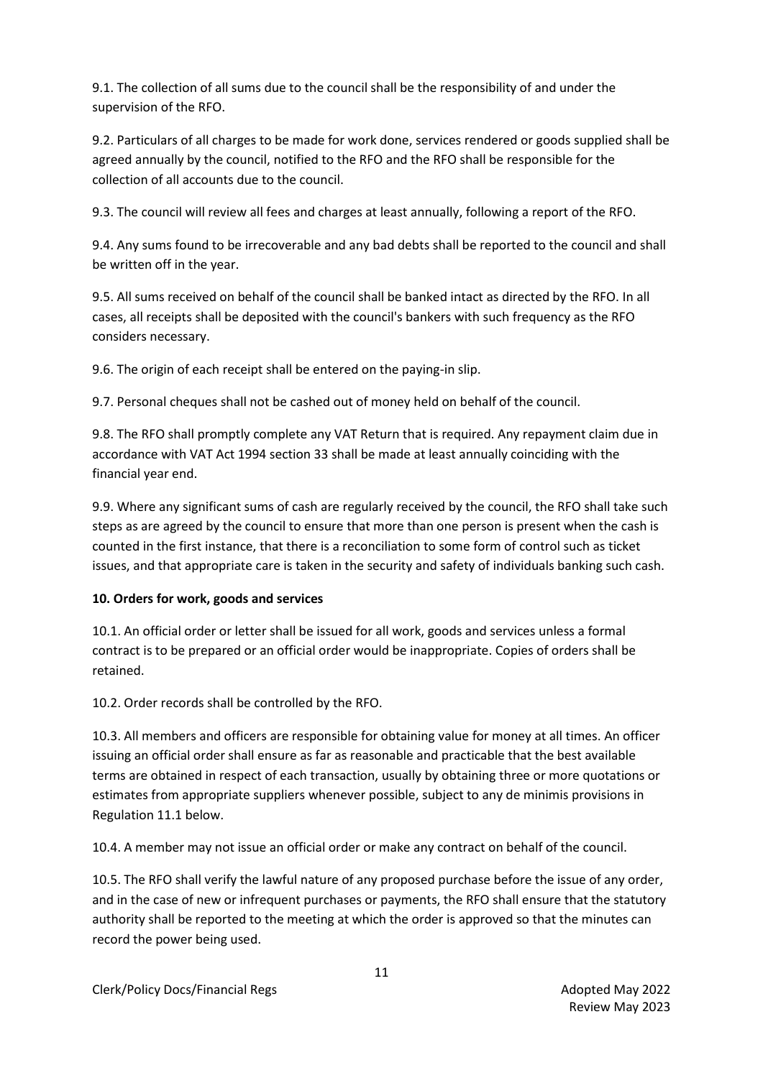9.1. The collection of all sums due to the council shall be the responsibility of and under the supervision of the RFO.

9.2. Particulars of all charges to be made for work done, services rendered or goods supplied shall be agreed annually by the council, notified to the RFO and the RFO shall be responsible for the collection of all accounts due to the council.

9.3. The council will review all fees and charges at least annually, following a report of the RFO.

9.4. Any sums found to be irrecoverable and any bad debts shall be reported to the council and shall be written off in the year.

9.5. All sums received on behalf of the council shall be banked intact as directed by the RFO. In all cases, all receipts shall be deposited with the council's bankers with such frequency as the RFO considers necessary.

9.6. The origin of each receipt shall be entered on the paying-in slip.

9.7. Personal cheques shall not be cashed out of money held on behalf of the council.

9.8. The RFO shall promptly complete any VAT Return that is required. Any repayment claim due in accordance with VAT Act 1994 section 33 shall be made at least annually coinciding with the financial year end.

9.9. Where any significant sums of cash are regularly received by the council, the RFO shall take such steps as are agreed by the council to ensure that more than one person is present when the cash is counted in the first instance, that there is a reconciliation to some form of control such as ticket issues, and that appropriate care is taken in the security and safety of individuals banking such cash.

# **10. Orders for work, goods and services**

10.1. An official order or letter shall be issued for all work, goods and services unless a formal contract is to be prepared or an official order would be inappropriate. Copies of orders shall be retained.

10.2. Order records shall be controlled by the RFO.

10.3. All members and officers are responsible for obtaining value for money at all times. An officer issuing an official order shall ensure as far as reasonable and practicable that the best available terms are obtained in respect of each transaction, usually by obtaining three or more quotations or estimates from appropriate suppliers whenever possible, subject to any de minimis provisions in Regulation 11.1 below.

10.4. A member may not issue an official order or make any contract on behalf of the council.

10.5. The RFO shall verify the lawful nature of any proposed purchase before the issue of any order, and in the case of new or infrequent purchases or payments, the RFO shall ensure that the statutory authority shall be reported to the meeting at which the order is approved so that the minutes can record the power being used.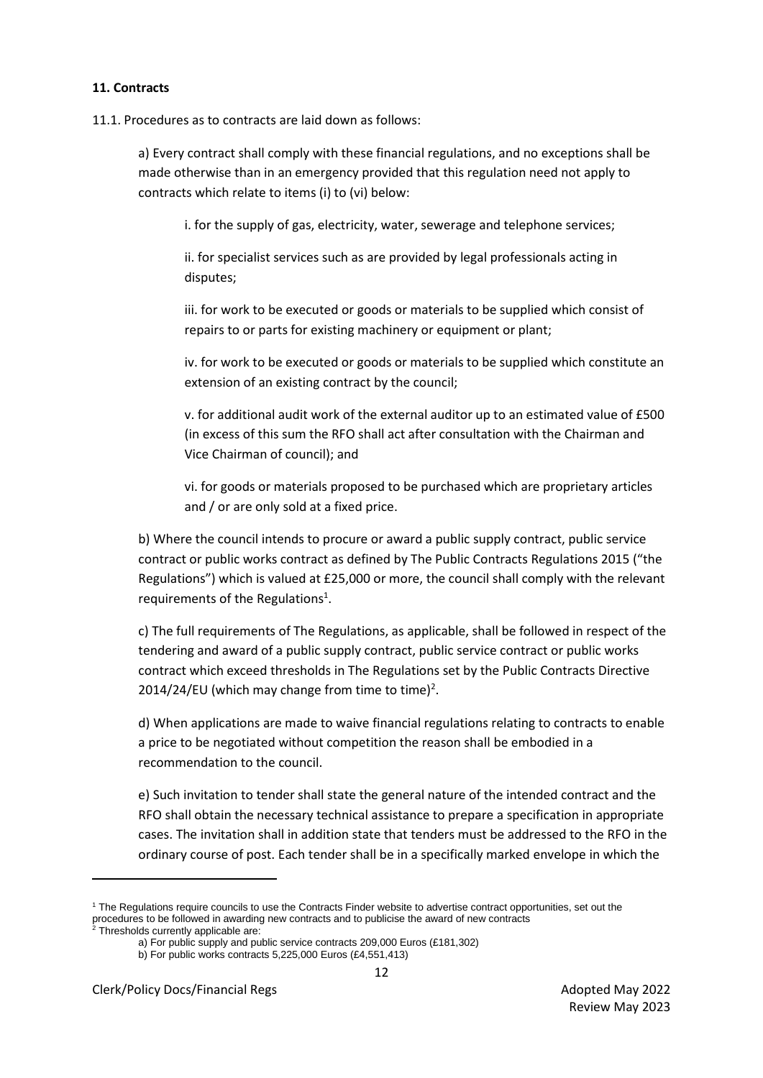### **11. Contracts**

11.1. Procedures as to contracts are laid down as follows:

a) Every contract shall comply with these financial regulations, and no exceptions shall be made otherwise than in an emergency provided that this regulation need not apply to contracts which relate to items (i) to (vi) below:

i. for the supply of gas, electricity, water, sewerage and telephone services;

ii. for specialist services such as are provided by legal professionals acting in disputes;

iii. for work to be executed or goods or materials to be supplied which consist of repairs to or parts for existing machinery or equipment or plant;

iv. for work to be executed or goods or materials to be supplied which constitute an extension of an existing contract by the council;

v. for additional audit work of the external auditor up to an estimated value of £500 (in excess of this sum the RFO shall act after consultation with the Chairman and Vice Chairman of council); and

vi. for goods or materials proposed to be purchased which are proprietary articles and / or are only sold at a fixed price.

b) Where the council intends to procure or award a public supply contract, public service contract or public works contract as defined by The Public Contracts Regulations 2015 ("the Regulations") which is valued at £25,000 or more, the council shall comply with the relevant requirements of the Regulations<sup>1</sup>.

c) The full requirements of The Regulations, as applicable, shall be followed in respect of the tendering and award of a public supply contract, public service contract or public works contract which exceed thresholds in The Regulations set by the Public Contracts Directive 2014/24/EU (which may change from time to time)<sup>2</sup>.

d) When applications are made to waive financial regulations relating to contracts to enable a price to be negotiated without competition the reason shall be embodied in a recommendation to the council.

e) Such invitation to tender shall state the general nature of the intended contract and the RFO shall obtain the necessary technical assistance to prepare a specification in appropriate cases. The invitation shall in addition state that tenders must be addressed to the RFO in the ordinary course of post. Each tender shall be in a specifically marked envelope in which the

<sup>1</sup> The Regulations require councils to use the Contracts Finder website to advertise contract opportunities, set out the procedures to be followed in a warding new contracts and to publicise the award of new contracts and to publicise the award of new contracts and to publicise the award of new contracts

<sup>&</sup>lt;sup>2</sup> Thresholds currently applicable are:

a) For public supply and public service contracts 209,000 Euros (£181,302) b) For public works contracts 5,225,000 Euros (£4,551,413)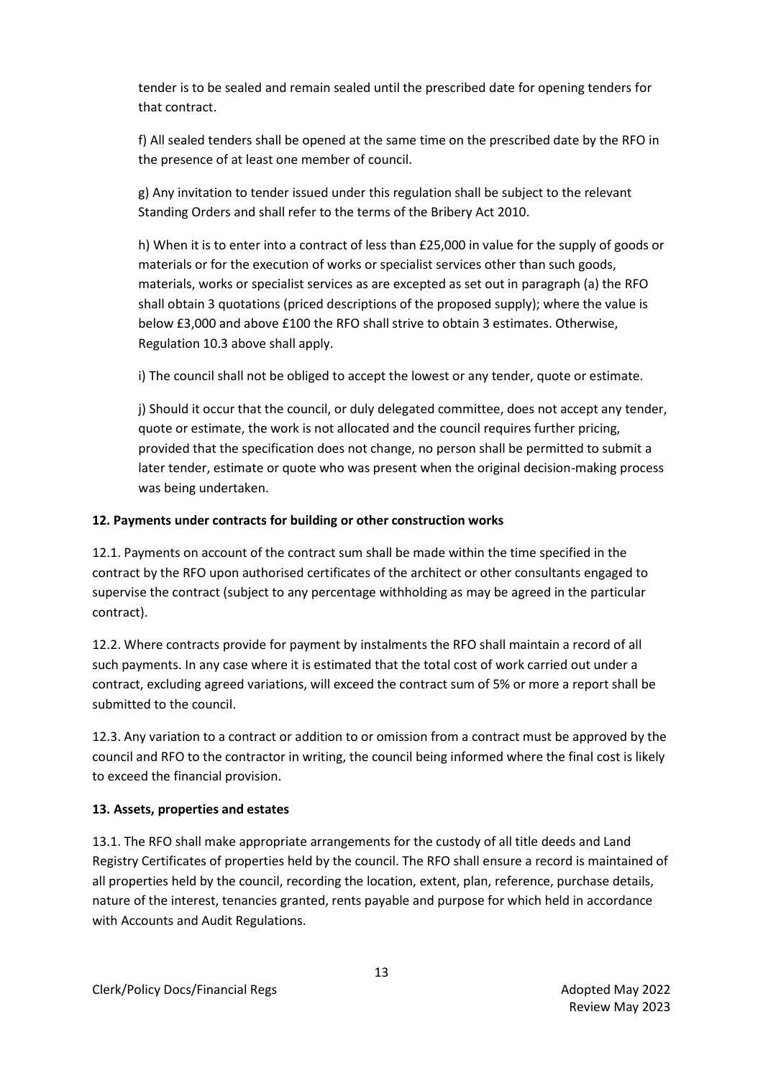tender is to be sealed and remain sealed until the prescribed date for opening tenders for that contract.

f) All sealed tenders shall be opened at the same time on the prescribed date by the RFO in the presence of at least one member of council.

g) Any invitation to tender issued under this regulation shall be subject to the relevant Standing Orders and shall refer to the terms of the Bribery Act 2010.

h) When it is to enter into a contract of less than £25,000 in value for the supply of goods or materials or for the execution of works or specialist services other than such goods, materials, works or specialist services as are excepted as set out in paragraph (a) the RFO shall obtain 3 quotations (priced descriptions of the proposed supply); where the value is below £3,000 and above £100 the RFO shall strive to obtain 3 estimates. Otherwise, Regulation 10.3 above shall apply.

i) The council shall not be obliged to accept the lowest or any tender, quote or estimate.

j) Should it occur that the council, or duly delegated committee, does not accept any tender, quote or estimate, the work is not allocated and the council requires further pricing, provided that the specification does not change, no person shall be permitted to submit a later tender, estimate or quote who was present when the original decision-making process was being undertaken.

## **12. Payments under contracts for building or other construction works**

12.1. Payments on account of the contract sum shall be made within the time specified in the contract by the RFO upon authorised certificates of the architect or other consultants engaged to supervise the contract (subject to any percentage withholding as may be agreed in the particular contract).

12.2. Where contracts provide for payment by instalments the RFO shall maintain a record of all such payments. In any case where it is estimated that the total cost of work carried out under a contract, excluding agreed variations, will exceed the contract sum of 5% or more a report shall be submitted to the council.

12.3. Any variation to a contract or addition to or omission from a contract must be approved by the council and RFO to the contractor in writing, the council being informed where the final cost is likely to exceed the financial provision.

# **13. Assets, properties and estates**

13.1. The RFO shall make appropriate arrangements for the custody of all title deeds and Land Registry Certificates of properties held by the council. The RFO shall ensure a record is maintained of all properties held by the council, recording the location, extent, plan, reference, purchase details, nature of the interest, tenancies granted, rents payable and purpose for which held in accordance with Accounts and Audit Regulations.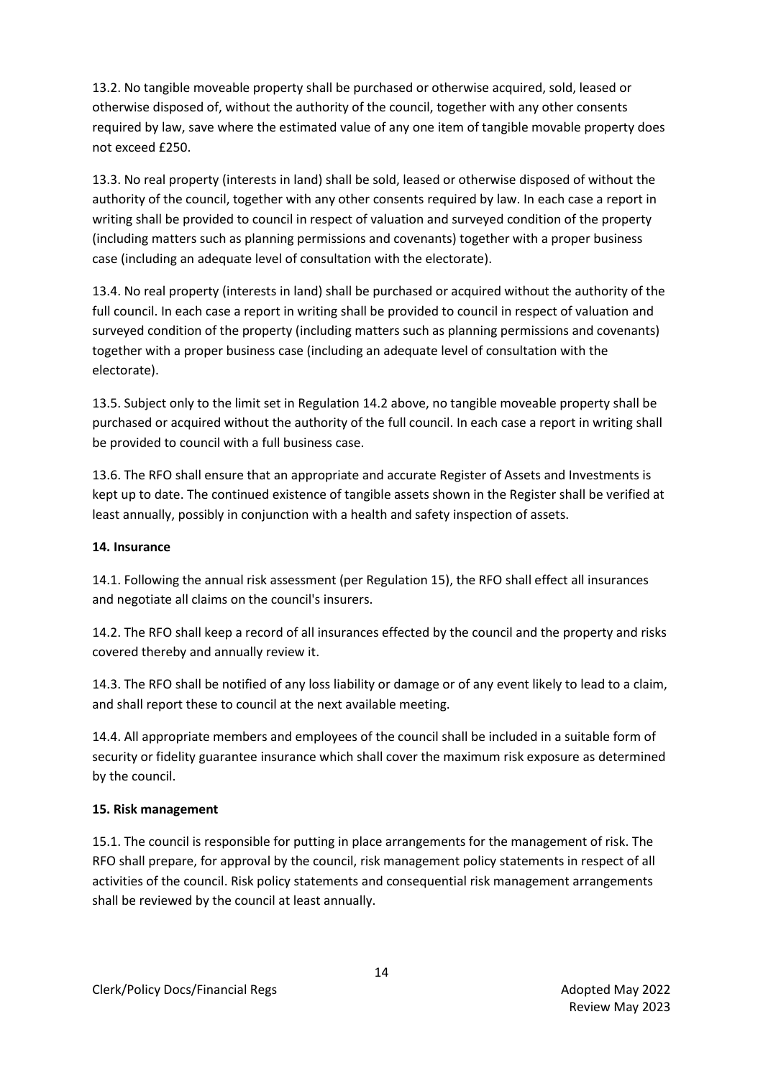13.2. No tangible moveable property shall be purchased or otherwise acquired, sold, leased or otherwise disposed of, without the authority of the council, together with any other consents required by law, save where the estimated value of any one item of tangible movable property does not exceed £250.

13.3. No real property (interests in land) shall be sold, leased or otherwise disposed of without the authority of the council, together with any other consents required by law. In each case a report in writing shall be provided to council in respect of valuation and surveyed condition of the property (including matters such as planning permissions and covenants) together with a proper business case (including an adequate level of consultation with the electorate).

13.4. No real property (interests in land) shall be purchased or acquired without the authority of the full council. In each case a report in writing shall be provided to council in respect of valuation and surveyed condition of the property (including matters such as planning permissions and covenants) together with a proper business case (including an adequate level of consultation with the electorate).

13.5. Subject only to the limit set in Regulation 14.2 above, no tangible moveable property shall be purchased or acquired without the authority of the full council. In each case a report in writing shall be provided to council with a full business case.

13.6. The RFO shall ensure that an appropriate and accurate Register of Assets and Investments is kept up to date. The continued existence of tangible assets shown in the Register shall be verified at least annually, possibly in conjunction with a health and safety inspection of assets.

### **14. Insurance**

14.1. Following the annual risk assessment (per Regulation 15), the RFO shall effect all insurances and negotiate all claims on the council's insurers.

14.2. The RFO shall keep a record of all insurances effected by the council and the property and risks covered thereby and annually review it.

14.3. The RFO shall be notified of any loss liability or damage or of any event likely to lead to a claim, and shall report these to council at the next available meeting.

14.4. All appropriate members and employees of the council shall be included in a suitable form of security or fidelity guarantee insurance which shall cover the maximum risk exposure as determined by the council.

# **15. Risk management**

15.1. The council is responsible for putting in place arrangements for the management of risk. The RFO shall prepare, for approval by the council, risk management policy statements in respect of all activities of the council. Risk policy statements and consequential risk management arrangements shall be reviewed by the council at least annually.